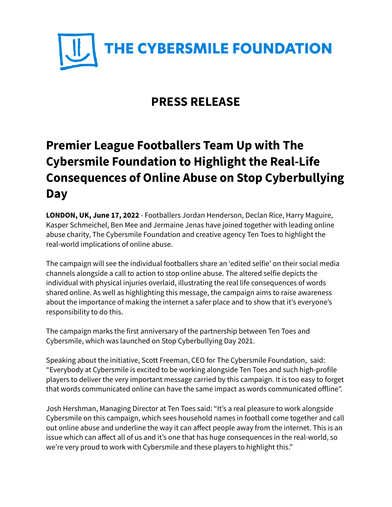

## **PRESS RELEASE**

## **Premier League Footballers Team Up with The Cybersmile Foundation to Highlight the Real-Life Consequences of Online Abuse on Stop Cyberbullying Day**

**LONDON, UK, June 17, 2022** - Footballers Jordan Henderson, Declan Rice, Harry Maguire, Kasper Schmeichel, Ben Mee and Jermaine Jenas have joined together with leading online abuse charity, The Cybersmile Foundation and creative agency Ten Toes to highlight the real-world implications of online abuse.

The campaign will see the individual footballers share an 'edited selfie' on their social media channels alongside a call to action to stop online abuse. The altered selfie depicts the individual with physical injuries overlaid, illustrating the real life consequences of words shared online. As well as highlighting this message, the campaign aims to raise awareness about the importance of making the internet a safer place and to show that it's everyone's responsibility to do this.

The campaign marks the first anniversary of the partnership between Ten Toes and Cybersmile, which was launched on Stop Cyberbullying Day 2021.

Speaking about the initiative, Scott Freeman, CEO for The Cybersmile Foundation, said: "Everybody at Cybersmile is excited to be working alongside Ten Toes and such high-profile players to deliver the very important message carried by this campaign. It is too easy to forget that words communicated online can have the same impact as words communicated offline".

Josh Hershman, Managing Director at Ten Toes said: "It's a real pleasure to work alongside Cybersmile on this campaign, which sees household names in football come together and call out online abuse and underline the way it can affect people away from the internet. This is an issue which can affect all of us and it's one that has huge consequences in the real-world, so we're very proud to work with Cybersmile and these players to highlight this."